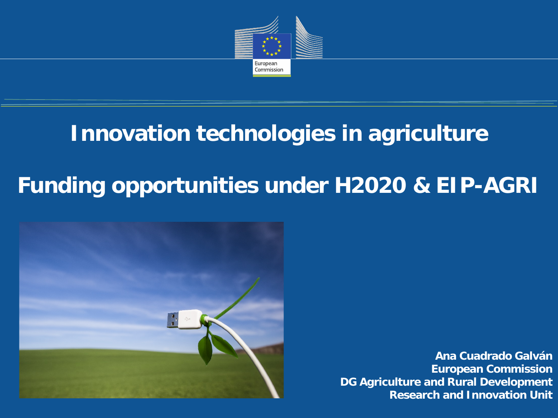

# **Innovation technologies in agriculture**

# **Funding opportunities under H2020 & EIP-AGRI**



**Ana Cuadrado Galván European Commission DG Agriculture and Rural Development Research and Innovation Unit**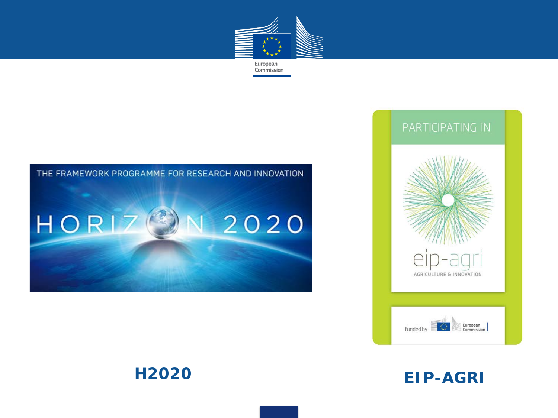



#### THE FRAMEWORK PROGRAMME FOR RESEARCH AND INNOVATION







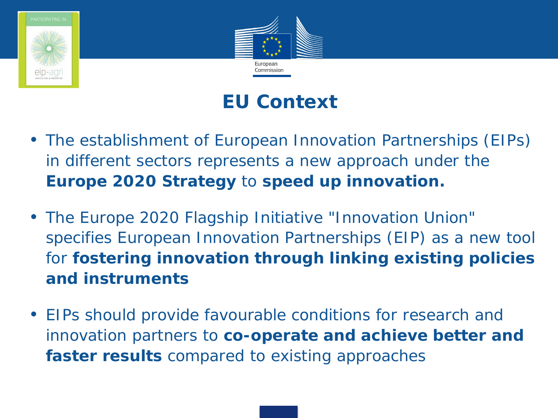



## **EU Context**

- The establishment of European Innovation Partnerships (EIPs) in different sectors represents a new approach under the **Europe 2020 Strategy** to **speed up innovation.**
- The Europe 2020 Flagship Initiative "Innovation Union" specifies European Innovation Partnerships (EIP) as a new tool for **fostering innovation through linking existing policies and instruments**
- EIPs should provide favourable conditions for research and innovation partners to **co-operate and achieve better and faster results** compared to existing approaches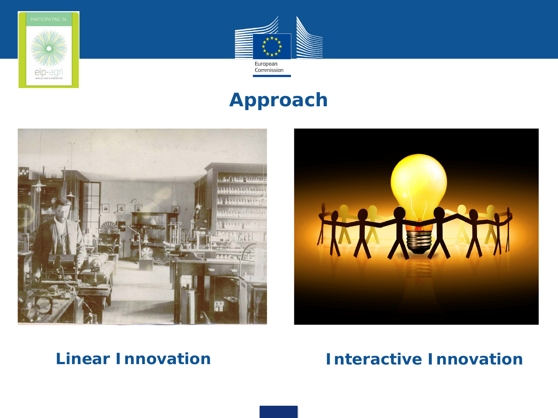



## **Approach**





## *Linear Innovation Interactive Innovation*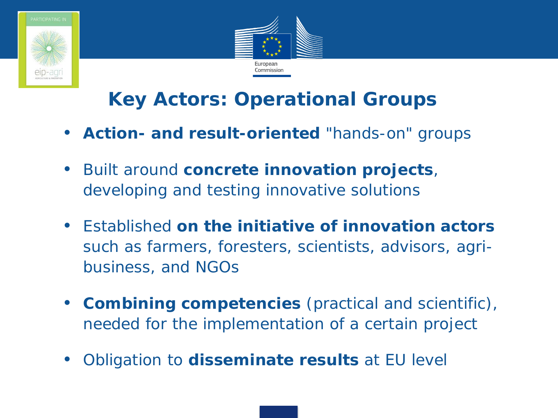



# **Key Actors: Operational Groups**

- **Action- and result-oriented** "hands-on" groups
- Built around **concrete innovation projects**, developing and testing innovative solutions
- Established **on the initiative of innovation actors**  such as farmers, foresters, scientists, advisors, agribusiness, and NGOs
- **Combining competencies** (practical and scientific), needed for the implementation of a certain project
- Obligation to **disseminate results** at EU level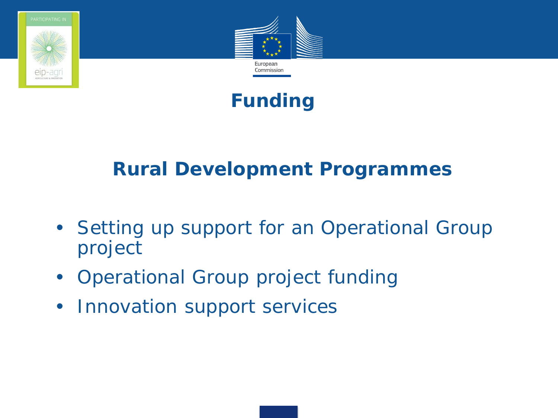



## **Funding**

## **Rural Development Programmes**

- Setting up support for an Operational Group project
- Operational Group project funding
- Innovation support services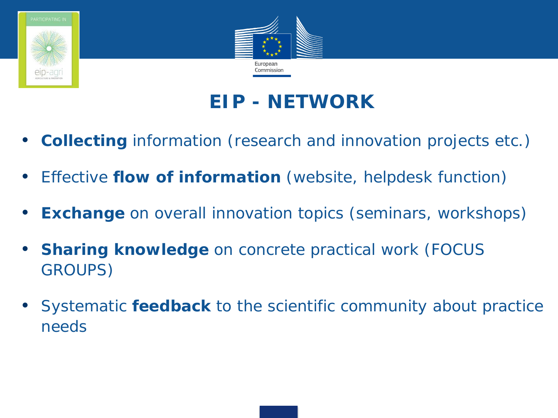



# **EIP - NETWORK**

- **Collecting** information (research and innovation projects etc.)
- Effective **flow of information** (website, helpdesk function)
- **Exchange** on overall innovation topics (seminars, workshops)
- **Sharing knowledge** on concrete practical work (FOCUS GROUPS)
- Systematic **feedback** to the scientific community about practice needs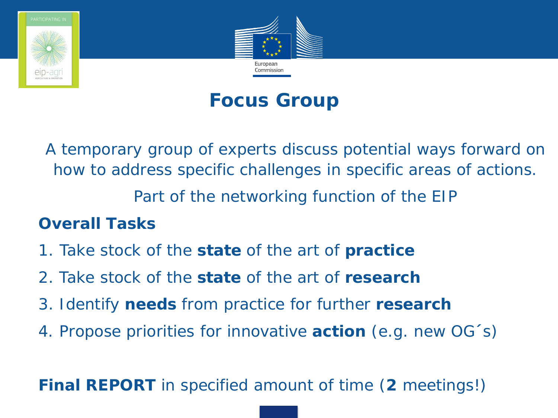



## **Focus Group**

A temporary group of experts discuss potential ways forward on how to address specific challenges in specific areas of actions. Part of the networking function of the EIP

## **Overall Tasks**

- 1. Take stock of the **state** of the art of **practice**
- 2. Take stock of the **state** of the art of **research**
- 3. Identify **needs** from practice for further **research**
- 4. Propose priorities for innovative **action** (e.g. new OG´s)

**Final REPORT** in specified amount of time (**2** meetings!)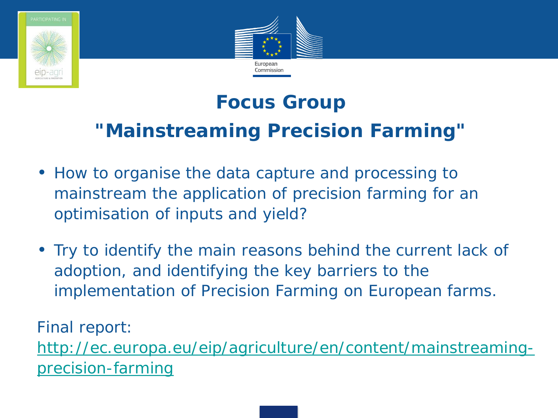



# **Focus Group "Mainstreaming Precision Farming"**

- How to organise the data capture and processing to mainstream the application of precision farming for an optimisation of inputs and yield?
- Try to identify the main reasons behind the current lack of adoption, and identifying the key barriers to the implementation of Precision Farming on European farms.

Final report:

[http://ec.europa.eu/eip/agriculture/en/content/mainstreaming](http://ec.europa.eu/eip/agriculture/en/content/mainstreaming-precision-farming)[precision-farming](http://ec.europa.eu/eip/agriculture/en/content/mainstreaming-precision-farming)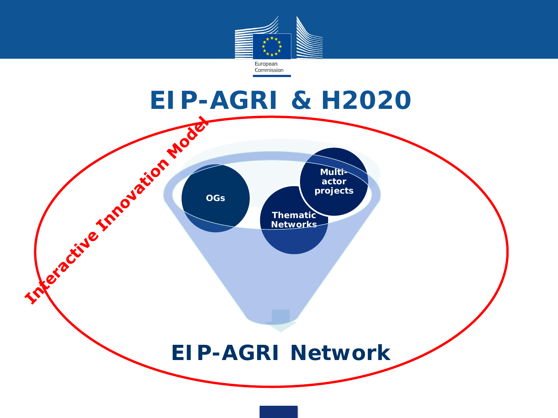

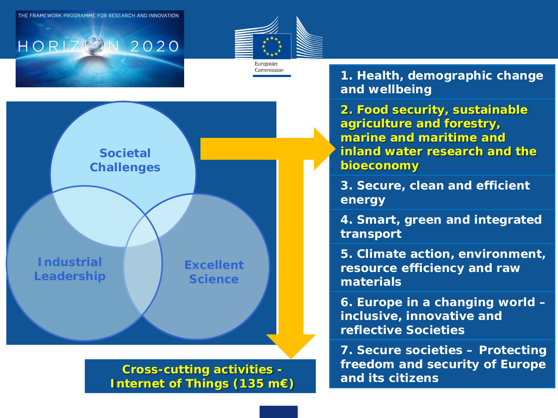THE FRAMEWORK PROGRAMME FOR RESEARCH AND INNOVATION

 $HORIZ<sup>2</sup>$ 





2020

**Cross-cutting activities - Internet of Things (135 m€)** 

**1. Health, demographic change and wellbeing**

**2. Food security, sustainable agriculture and forestry, marine and maritime and inland water research and the bioeconomy**

**3. Secure, clean and efficient energy**

**4. Smart, green and integrated transport**

**5. Climate action, environment, resource efficiency and raw materials**

**6. Europe in a changing world – inclusive, innovative and reflective Societies**

**7. Secure societies – Protecting freedom and security of Europe and its citizens**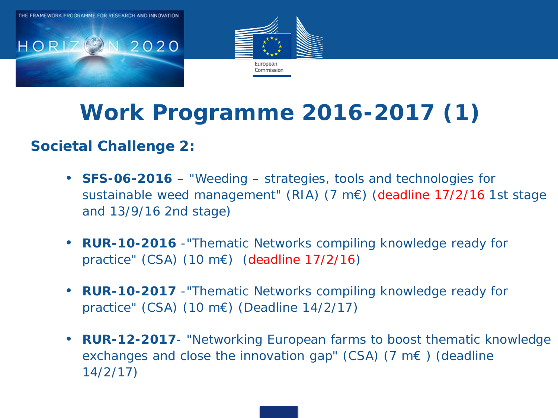



# **Work Programme 2016-2017 (1)**

## **Societal Challenge 2:**

- **SFS-06-2016** "Weeding strategies, tools and technologies for sustainable weed management" (RIA) (7 m€) (deadline 17/2/16 1st stage and 13/9/16 2nd stage)
- **RUR-10-2016** -*"Thematic Networks compiling knowledge ready for practice"* (CSA) (10 m€) (deadline 17/2/16)
- **RUR-10-2017** -*"Thematic Networks compiling knowledge ready for practice"* (CSA) (10 m€) (Deadline 14/2/17)
- *RUR-12-2017 "Networking European farms to boost thematic knowledge exchanges and close the innovation gap"* (CSA) (7 m€ ) (deadline 14/2/17)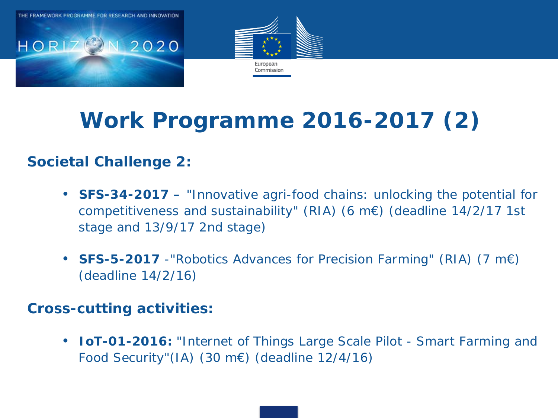

# **Work Programme 2016-2017 (2)**

## **Societal Challenge 2:**

- **SFS-34-2017** "*Innovative agri-food chains: unlocking the potential for competitiveness and sustainability"* (RIA) (6 m€) (deadline 14/2/17 1st stage and 13/9/17 2nd stage)
- **SFS-5-2017** *-"Robotics Advances for Precision Farming"* (RIA) (7 m€) (deadline 14/2/16)

### **Cross-cutting activities:**

• **IoT-01-2016:** *"Internet of Things Large Scale Pilot - Smart Farming and Food Security"(*IA) (30 m€) (deadline 12/4/16)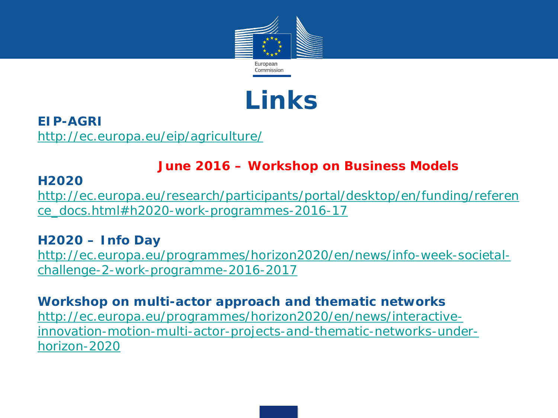

# **Links**

**EIP-AGRI** <http://ec.europa.eu/eip/agriculture/>

### **June 2016 – Workshop on Business Models**

### **H2020**

[http://ec.europa.eu/research/participants/portal/desktop/en/funding/referen](http://ec.europa.eu/research/participants/portal/desktop/en/funding/reference_docs.html#h2020-work-programmes-2016-17) [ce\\_docs.html#h2020-work-programmes-2016-17](http://ec.europa.eu/research/participants/portal/desktop/en/funding/reference_docs.html#h2020-work-programmes-2016-17)

### **H2020 – Info Day**

[http://ec.europa.eu/programmes/horizon2020/en/news/info-week-societal](http://ec.europa.eu/programmes/horizon2020/en/news/info-week-societal-challenge-2-work-programme-2016-2017)[challenge-2-work-programme-2016-2017](http://ec.europa.eu/programmes/horizon2020/en/news/info-week-societal-challenge-2-work-programme-2016-2017)

### **Workshop on multi-actor approach and thematic networks**

[http://ec.europa.eu/programmes/horizon2020/en/news/interactive](http://ec.europa.eu/programmes/horizon2020/en/news/interactive-innovation-motion-multi-actor-projects-and-thematic-networks-under-horizon-2020)[innovation-motion-multi-actor-projects-and-thematic-networks-under](http://ec.europa.eu/programmes/horizon2020/en/news/interactive-innovation-motion-multi-actor-projects-and-thematic-networks-under-horizon-2020)[horizon-2020](http://ec.europa.eu/programmes/horizon2020/en/news/interactive-innovation-motion-multi-actor-projects-and-thematic-networks-under-horizon-2020)